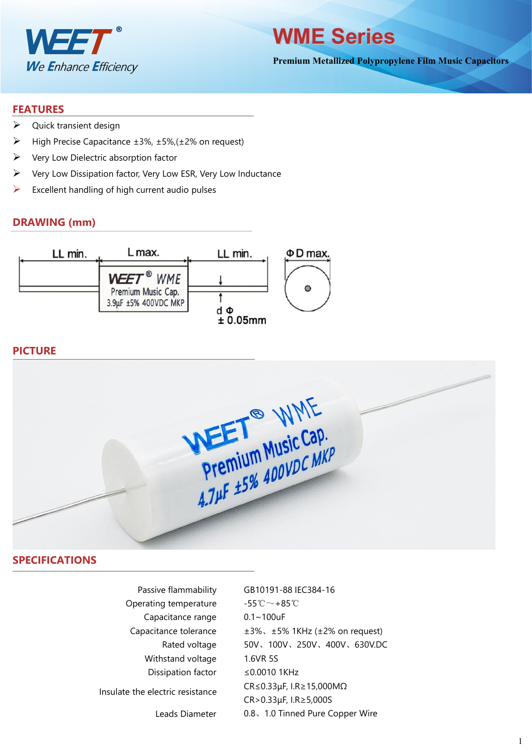



**Premium Metallized Polypropylene Film Music Capacitors**

#### **FEATURES**

- $\triangleright$  Quick transient design
- $\triangleright$  High Precise Capacitance ±3%, ±5%, (±2% on request)
- $\triangleright$  Very Low Dielectric absorption factor
- $\triangleright$  Very Low Dissipation factor, Very Low ESR, Very Low Inductance
- $\triangleright$  Excellent handling of high current audio pulses

#### **DRAWING (mm)**



#### **PICTURE**



#### **SPECIFICATIONS**

| Passive flammability             | GB10191-88 IEC384-16                               |
|----------------------------------|----------------------------------------------------|
| Operating temperature            | $-55^{\circ}\text{C} \sim +85^{\circ}\text{C}$     |
| Capacitance range                | $0.1 - 100$ uF                                     |
| Capacitance tolerance            | $\pm 3\%$ , $\pm 5\%$ 1KHz ( $\pm 2\%$ on request) |
| Rated voltage                    | 50V、100V、250V、400V、630V.DC                         |
| Withstand voltage                | 1.6VR 5S                                           |
| Dissipation factor               | $\leq$ 0.0010 1KHz                                 |
| Insulate the electric resistance | $CR \leq 0.33 \mu F$ , I.R $\geq 15,000 M\Omega$   |
|                                  | $CR > 0.33 \mu F$ , I.R $\geq$ 5,000S              |
| Leads Diameter                   | 0.8、1.0 Tinned Pure Copper Wire                    |
|                                  |                                                    |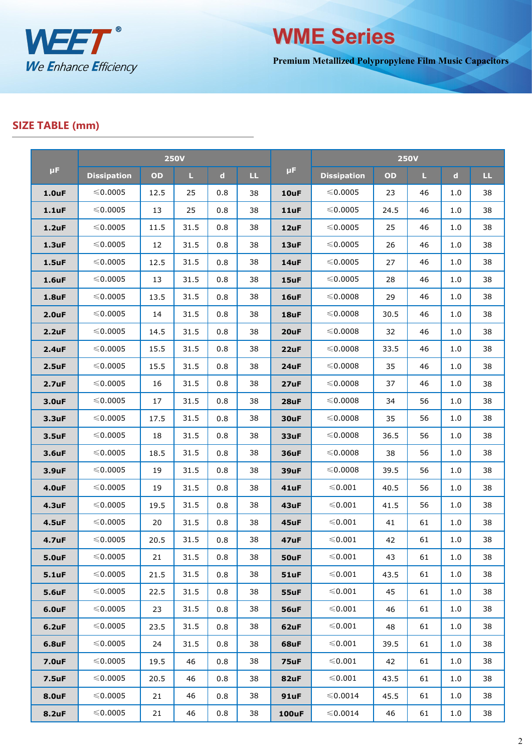



**Premium Metallized Polypropylene Film Music Capacitors**

### **SIZE TABLE (mm)**

|                    |                    |      | <b>250V</b> |             |     |              | <b>250V</b>        |      |    |             |    |  |
|--------------------|--------------------|------|-------------|-------------|-----|--------------|--------------------|------|----|-------------|----|--|
| $\mu$ F            | <b>Dissipation</b> | OD   | L.          | $\mathbf d$ | LL. | $\mu$ F      | <b>Dissipation</b> | OD   | L. | $\mathbf d$ | LL |  |
| 1.0 <sub>u</sub> F | $\leqslant$ 0.0005 | 12.5 | 25          | 0.8         | 38  | 10uF         | ≤0.0005            | 23   | 46 | 1.0         | 38 |  |
| 1.1uF              | $≤ 0.0005$         | 13   | 25          | 0.8         | 38  | 11uF         | ≤0.0005            | 24.5 | 46 | 1.0         | 38 |  |
| $1.2$ uF           | ≤0.0005            | 11.5 | 31.5        | 0.8         | 38  | 12uF         | ≤0.0005            | 25   | 46 | 1.0         | 38 |  |
| $1.3$ uF           | $\leqslant$ 0.0005 | 12   | 31.5        | 0.8         | 38  | 13uF         | $\leqslant$ 0.0005 | 26   | 46 | 1.0         | 38 |  |
| $1.5$ uF           | ≤0.0005            | 12.5 | 31.5        | 0.8         | 38  | 14uF         | ≤0.0005            | 27   | 46 | $1.0$       | 38 |  |
| 1.6uF              | ≤0.0005            | 13   | 31.5        | 0.8         | 38  | 15uF         | ≤0.0005            | 28   | 46 | 1.0         | 38 |  |
| <b>1.8uF</b>       | ≤0.0005            | 13.5 | 31.5        | 0.8         | 38  | 16uF         | ≤0.0008            | 29   | 46 | 1.0         | 38 |  |
| 2.0 <sub>u</sub> F | ≤0.0005            | 14   | 31.5        | 0.8         | 38  | 18uF         | $\leqslant$ 0.0008 | 30.5 | 46 | $1.0$       | 38 |  |
| 2.2uF              | $\leqslant$ 0.0005 | 14.5 | 31.5        | 0.8         | 38  | 20uF         | $\leqslant$ 0.0008 | 32   | 46 | $1.0$       | 38 |  |
| 2.4uF              | ≤0.0005            | 15.5 | 31.5        | 0.8         | 38  | 22uF         | ≤0.0008            | 33.5 | 46 | 1.0         | 38 |  |
| 2.5 <sub>u</sub> F | ≤0.0005            | 15.5 | 31.5        | 0.8         | 38  | 24uF         | ≤0.0008            | 35   | 46 | 1.0         | 38 |  |
| 2.7 <sub>u</sub> F | $\leqslant$ 0.0005 | 16   | 31.5        | 0.8         | 38  | 27uF         | $\leqslant$ 0.0008 | 37   | 46 | 1.0         | 38 |  |
| 3.0uF              | ≤0.0005            | 17   | 31.5        | 0.8         | 38  | 28uF         | ≤0.0008            | 34   | 56 | 1.0         | 38 |  |
| 3.3uF              | ≤0.0005            | 17.5 | 31.5        | 0.8         | 38  | 30uF         | ≤0.0008            | 35   | 56 | 1.0         | 38 |  |
| 3.5uF              | ≤0.0005            | 18   | 31.5        | 0.8         | 38  | 33uF         | ≤0.0008            | 36.5 | 56 | 1.0         | 38 |  |
| 3.6uF              | ≤0.0005            | 18.5 | 31.5        | 0.8         | 38  | 36uF         | ≤0.0008            | 38   | 56 | 1.0         | 38 |  |
| 3.9uF              | $\leqslant$ 0.0005 | 19   | 31.5        | 0.8         | 38  | 39uF         | ≤0.0008            | 39.5 | 56 | 1.0         | 38 |  |
| <b>4.0uF</b>       | ≤0.0005            | 19   | 31.5        | 0.8         | 38  | 41uF         | ≤0.001             | 40.5 | 56 | 1.0         | 38 |  |
| <b>4.3uF</b>       | ≤0.0005            | 19.5 | 31.5        | 0.8         | 38  | 43uF         | ≤0.001             | 41.5 | 56 | 1.0         | 38 |  |
| <b>4.5uF</b>       | ≤0.0005            | 20   | 31.5        | 0.8         | 38  | 45uF         | ≤0.001             | 41   | 61 | 1.0         | 38 |  |
| <b>4.7uF</b>       | ≤0.0005            | 20.5 | 31.5        | 0.8         | 38  | 47uF         | ≤0.001             | 42   | 61 | 1.0         | 38 |  |
| <b>5.0uF</b>       | ≤0.0005            | 21   | 31.5        | 0.8         | 38  | 50uF         | ≤0.001             | 43   | 61 | $1.0$       | 38 |  |
| <b>5.1uF</b>       | $\leqslant$ 0.0005 | 21.5 | 31.5        | 0.8         | 38  | <b>51uF</b>  | $\leqslant 0.001$  | 43.5 | 61 | 1.0         | 38 |  |
| <b>5.6uF</b>       | ≤0.0005            | 22.5 | 31.5        | 0.8         | 38  | 55uF         | $\leqslant 0.001$  | 45   | 61 | 1.0         | 38 |  |
| 6.0uF              | $\leqslant$ 0.0005 | 23   | 31.5        | 0.8         | 38  | 56uF         | $\leqslant 0.001$  | 46   | 61 | 1.0         | 38 |  |
| 6.2uF              | $\leqslant$ 0.0005 | 23.5 | 31.5        | 0.8         | 38  | 62uF         | $\leqslant 0.001$  | 48   | 61 | 1.0         | 38 |  |
| <b>6.8uF</b>       | ≤0.0005            | 24   | 31.5        | 0.8         | 38  | 68uF         | ≤0.001             | 39.5 | 61 | 1.0         | 38 |  |
| <b>7.0uF</b>       | $\leqslant$ 0.0005 | 19.5 | 46          | 0.8         | 38  | 75uF         | ≤0.001             | 42   | 61 | 1.0         | 38 |  |
| <b>7.5uF</b>       | $\leqslant$ 0.0005 | 20.5 | 46          | 0.8         | 38  | 82uF         | ≤0.001             | 43.5 | 61 | 1.0         | 38 |  |
| <b>8.0uF</b>       | ≤0.0005            | 21   | 46          | 0.8         | 38  | <b>91uF</b>  | ≤0.0014            | 45.5 | 61 | 1.0         | 38 |  |
| 8.2uF              | ≤0.0005            | 21   | 46          | 0.8         | 38  | <b>100uF</b> | ≤0.0014            | 46   | 61 | 1.0         | 38 |  |
|                    |                    |      |             |             |     |              |                    |      |    |             |    |  |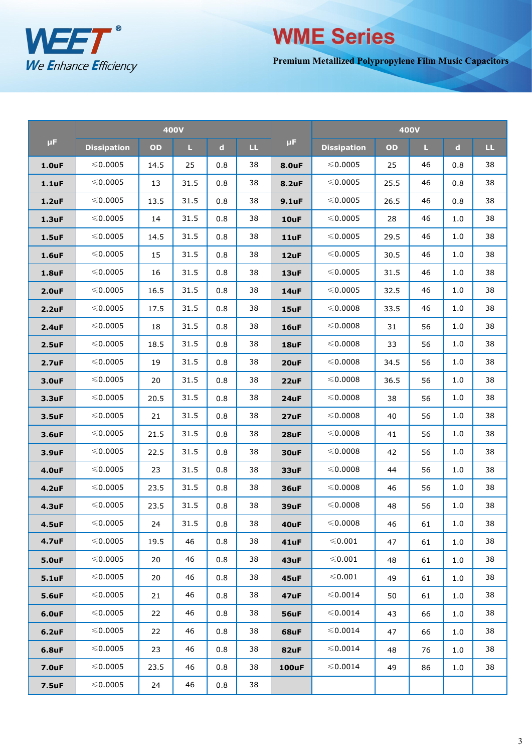

# ≤0.0005 22.5 46 0.8 38 **-- --** -- **-- -- -- WME Series**

**Premium Metallized Polypropylene Film Music Capacitors**

|                    | <b>400V</b>        |      |      |             |                        |              | <b>400V</b>        |      |    |             |    |  |
|--------------------|--------------------|------|------|-------------|------------------------|--------------|--------------------|------|----|-------------|----|--|
| μF.                | <b>Dissipation</b> | OD   | L.   | $\mathbf d$ | $\mathbf{L}\mathbf{L}$ | μF.          | <b>Dissipation</b> | OD   | L. | $\mathbf d$ | Ш. |  |
| 1.0uF              | $\leqslant$ 0.0005 | 14.5 | 25   | 0.8         | 38                     | <b>8.0uF</b> | $\leqslant$ 0.0005 | 25   | 46 | 0.8         | 38 |  |
| 1.1uF              | ≤0.0005            | 13   | 31.5 | 0.8         | 38                     | <b>8.2uF</b> | ≤0.0005            | 25.5 | 46 | 0.8         | 38 |  |
| $1.2$ uF           | $\leqslant$ 0.0005 | 13.5 | 31.5 | 0.8         | 38                     | $9.1$ uF     | $\leqslant$ 0.0005 | 26.5 | 46 | 0.8         | 38 |  |
| $1.3$ uF           | ≤0.0005            | 14   | 31.5 | 0.8         | 38                     | 10uF         | ≤0.0005            | 28   | 46 | 1.0         | 38 |  |
| 1.5uF              | ≤0.0005            | 14.5 | 31.5 | 0.8         | 38                     | 11uF         | ≤0.0005            | 29.5 | 46 | 1.0         | 38 |  |
| <b>1.6uF</b>       | $\leqslant$ 0.0005 | 15   | 31.5 | 0.8         | 38                     | 12uF         | $\leqslant$ 0.0005 | 30.5 | 46 | 1.0         | 38 |  |
| 1.8uF              | ≤0.0005            | 16   | 31.5 | 0.8         | 38                     | 13uF         | ≤0.0005            | 31.5 | 46 | 1.0         | 38 |  |
| 2.0uF              | ≤0.0005            | 16.5 | 31.5 | 0.8         | 38                     | 14uF         | ≤0.0005            | 32.5 | 46 | 1.0         | 38 |  |
| 2.2uF              | $\leqslant$ 0.0005 | 17.5 | 31.5 | 0.8         | 38                     | 15uF         | $\leqslant$ 0.0008 | 33.5 | 46 | 1.0         | 38 |  |
| 2.4uF              | ≤0.0005            | 18   | 31.5 | 0.8         | 38                     | 16uF         | ≤0.0008            | 31   | 56 | 1.0         | 38 |  |
| 2.5uF              | ≤0.0005            | 18.5 | 31.5 | 0.8         | 38                     | 18uF         | ≤0.0008            | 33   | 56 | 1.0         | 38 |  |
| 2.7 <sub>u</sub> F | $\leqslant$ 0.0005 | 19   | 31.5 | 0.8         | 38                     | 20uF         | $\leqslant$ 0.0008 | 34.5 | 56 | 1.0         | 38 |  |
| 3.0uF              | ≤0.0005            | 20   | 31.5 | 0.8         | 38                     | 22uF         | ≤0.0008            | 36.5 | 56 | 1.0         | 38 |  |
| 3.3uF              | ≤0.0005            | 20.5 | 31.5 | 0.8         | 38                     | 24uF         | ≤0.0008            | 38   | 56 | 1.0         | 38 |  |
| 3.5uF              | $\leqslant$ 0.0005 | 21   | 31.5 | 0.8         | 38                     | 27uF         | ≤0.0008            | 40   | 56 | 1.0         | 38 |  |
| 3.6uF              | ≤0.0005            | 21.5 | 31.5 | 0.8         | 38                     | 28uF         | ≤0.0008            | 41   | 56 | 1.0         | 38 |  |
| 3.9uF              | ≤0.0005            | 22.5 | 31.5 | 0.8         | 38                     | 30uF         | ≤0.0008            | 42   | 56 | 1.0         | 38 |  |
| <b>4.0uF</b>       | $\leqslant$ 0.0005 | 23   | 31.5 | 0.8         | 38                     | 33uF         | ≤0.0008            | 44   | 56 | 1.0         | 38 |  |
| <b>4.2uF</b>       | ≤0.0005            | 23.5 | 31.5 | 0.8         | 38                     | <b>36uF</b>  | ≤0.0008            | 46   | 56 | 1.0         | 38 |  |
| 4.3uF              | ≤0.0005            | 23.5 | 31.5 | 0.8         | 38                     | 39uF         | ≤0.0008            | 48   | 56 | 1.0         | 38 |  |
| <b>4.5uF</b>       | ≤0.0005            | 24   | 31.5 | 0.8         | 38                     | 40uF         | ≤0.0008            | 46   | 61 | 1.0         | 38 |  |
| 4.7uF              | $\leqslant$ 0.0005 | 19.5 | 46   | 0.8         | 38                     | 41uF         | ≤0.001             | 47   | 61 | 1.0         | 38 |  |
| <b>5.0uF</b>       | ≤0.0005            | 20   | 46   | 0.8         | 38                     | 43uF         | ≤0.001             | 48   | 61 | 1.0         | 38 |  |
| 5.1uF              | ≤0.0005            | 20   | 46   | 0.8         | 38                     | 45uF         | ≤0.001             | 49   | 61 | 1.0         | 38 |  |
| <b>5.6uF</b>       | ≤0.0005            | 21   | 46   | 0.8         | 38                     | 47uF         | ≤0.0014            | 50   | 61 | 1.0         | 38 |  |
| <b>6.0uF</b>       | ≤0.0005            | 22   | 46   | 0.8         | 38                     | <b>56uF</b>  | ≤0.0014            | 43   | 66 | 1.0         | 38 |  |
| $6.2$ uF           | ≤0.0005            | 22   | 46   | 0.8         | 38                     | 68uF         | $\leqslant$ 0.0014 | 47   | 66 | 1.0         | 38 |  |
| <b>6.8uF</b>       | ≤0.0005            | 23   | 46   | 0.8         | 38                     | 82uF         | ≤0.0014            | 48   | 76 | 1.0         | 38 |  |
| <b>7.0uF</b>       | ≤0.0005            | 23.5 | 46   | 0.8         | 38                     | <b>100uF</b> | ≤0.0014            | 49   | 86 | 1.0         | 38 |  |
| <b>7.5uF</b>       | ≤0.0005            | 24   | 46   | 0.8         | 38                     |              |                    |      |    |             |    |  |